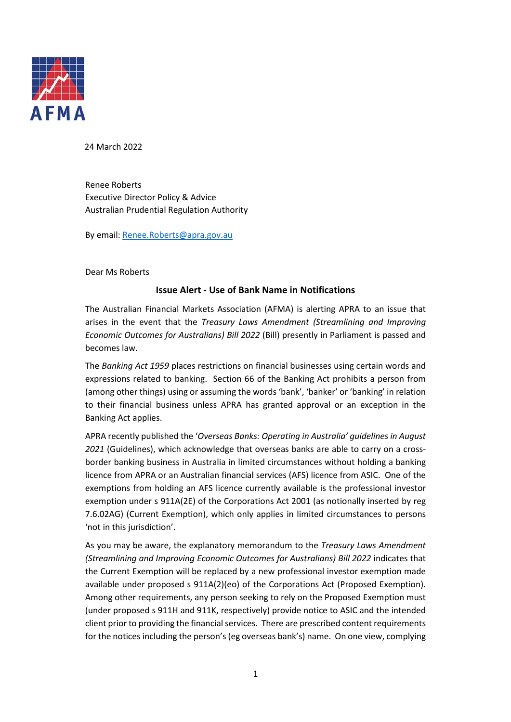

24 March 2022

Renee Roberts Executive Director Policy & Advice Australian Prudential Regulation Authority

By email[: Renee.Roberts@apra.gov.au](mailto:Renee.Roberts@apra.gov.au)

Dear Ms Roberts

## **Issue Alert - Use of Bank Name in Notifications**

The Australian Financial Markets Association (AFMA) is alerting APRA to an issue that arises in the event that the *Treasury Laws Amendment (Streamlining and Improving Economic Outcomes for Australians) Bill 2022* (Bill) presently in Parliament is passed and becomes law.

The *Banking Act 1959* places restrictions on financial businesses using certain words and expressions related to banking. Section 66 of the Banking Act prohibits a person from (among other things) using or assuming the words 'bank', 'banker' or 'banking' in relation to their financial business unless APRA has granted approval or an exception in the Banking Act applies.

APRA recently published the '*Overseas Banks: Operating in Australia' guidelines in August 2021* (Guidelines), which acknowledge that overseas banks are able to carry on a crossborder banking business in Australia in limited circumstances without holding a banking licence from APRA or an Australian financial services (AFS) licence from ASIC. One of the exemptions from holding an AFS licence currently available is the professional investor exemption under s 911A(2E) of the Corporations Act 2001 (as notionally inserted by reg 7.6.02AG) (Current Exemption), which only applies in limited circumstances to persons 'not in this jurisdiction'.

As you may be aware, the explanatory memorandum to the *Treasury Laws Amendment (Streamlining and Improving Economic Outcomes for Australians) Bill 2022* indicates that the Current Exemption will be replaced by a new professional investor exemption made available under proposed s 911A(2)(eo) of the Corporations Act (Proposed Exemption). Among other requirements, any person seeking to rely on the Proposed Exemption must (under proposed s 911H and 911K, respectively) provide notice to ASIC and the intended client prior to providing the financial services. There are prescribed content requirements for the notices including the person's (eg overseas bank's) name. On one view, complying